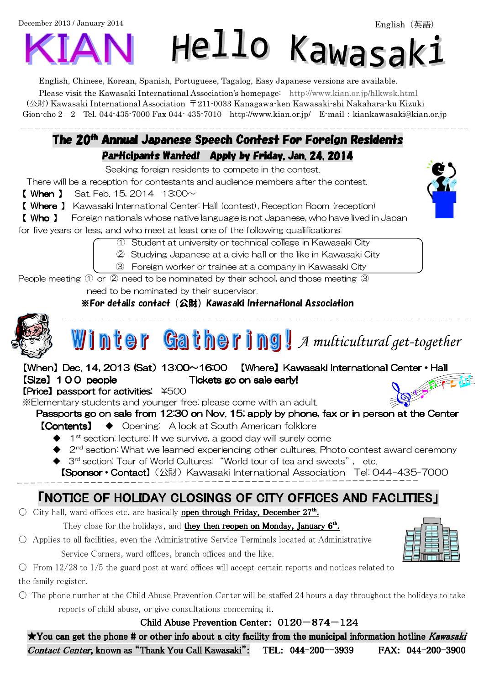December 2013 / January 2014

# Hello Kawasak:

English, Chinese, Korean, Spanish, Portuguese, Tagalog, Easy Japanese versions are available. Please visit the Kawasaki International Association's homepage: http://www.kian.or.jp/hlkwsk.html (公財) Kawasaki International Association 〒211-0033 Kanagawa-ken Kawasaki-shi Nakahara-ku Kizuki Gion-cho 2-2 Tel. 044-435-7000 Fax 044- 435-7010 http://www.kian.or.jp/ E-mail:kiankawasaki@kian.or.jp

#### The 20<sup>th</sup> Annual Japanese Speech Con<del>t</del>est For Foreign Residents Participants Wanted! Apply by Friday, Jan. 24, 2014

Seeking foreign residents to compete in the contest.

There will be a reception for contestants and audience members after the contest.

- **【 When 】** Sat. Feb. 15, 2014  $13:00 \sim$
- 【 Where 】 Kawasaki International Center: Hall (contest), Reception Room (reception)

【 Who 】 Foreign nationals whose native language is not Japanese, who have lived in Japan

for five years or less, and who meet at least one of the following qualifications:

① Student at university or technical college in Kawasaki City

② Studying Japanese at a civic hall or the like in Kawasaki City

③ Foreign worker or trainee at a company in Kawasaki City

People meeting ① or ② need to be nominated by their school, and those meeting ③ need to be nominated by their supervisor.

※For details contact(公財)Kawasaki International Association



j

 $\overline{a}$ 

#### m t A multicultural get-together

【When】Dec. 14. 2013 (Sat) 13:00~16:00 【Where】Kawasaki International Center · Hall [Size] 100 people Tickets go on sale early!

#### $[Price]$  passport for activities:  $*500$

 $\overline{a}$ 

※Elementary students and younger free; please come with an adult.

#### Passports go on sale from 12:30 on Nov. 15; apply by phone, fax or in person at the Center

- 【Contents】 ◆ Opening: A look at South American folklore
	- $\blacklozenge$  1<sup>st</sup> section: lecture: If we survive, a good day will surely come
	- $2<sup>nd</sup>$  section: What we learned experiencing other cultures. Photo contest award ceremony
	- ◆ 3<sup>rd</sup> section: Tour of World Cultures: "World tour of tea and sweets", etc.

**【Sponsor • Contact】**(公財) Kawasaki International Association Tel: 044-435-7000

## **FNOTICE OF HOLIDAY CLOSINGS OF CITY OFFICES AND FACLITIES I**

O City hall, ward offices etc. are basically **open through Friday, December 27<sup>th</sup>.** 

They close for the holidays, and they then reopen on Monday, January 6<sup>th</sup>.

○ Applies to all facilities, even the Administrative Service Terminals located at Administrative Service Corners, ward offices, branch offices and the like.

 $\circ$  From 12/28 to 1/5 the guard post at ward offices will accept certain reports and notices related to the family register.

 $\circ$  The phone number at the Child Abuse Prevention Center will be staffed 24 hours a day throughout the holidays to take reports of child abuse, or give consultations concerning it.

#### Child Abuse Prevention Center:  $0120-874-124$

 $\star$ You can get the phone # or other info about a city facility from the municipal information hotline Kawasaki Contact Center, known as "Thank You Call Kawasaki": TEL: 044-200--3939 FAX: 044-200-3900

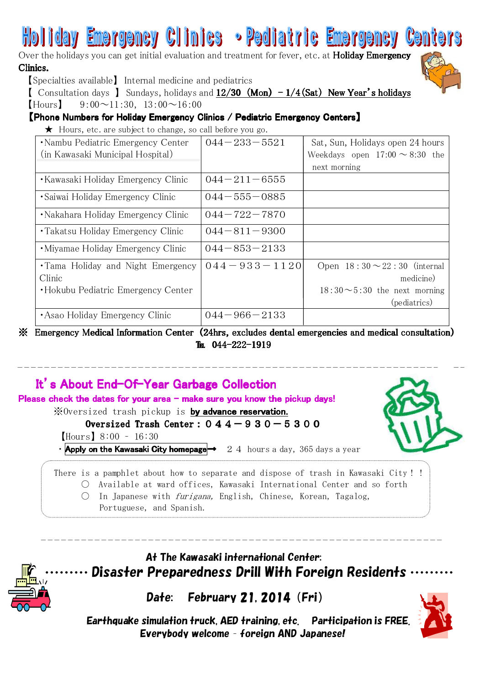# **Emergency Clinics • Pediatric Emergency**

Over the holidays you can get initial evaluation and treatment for fever, etc. at Holiday Emergency Clinics.



【Specialties available】 Internal medicine and pediatrics

**[** Consultation days ] Sundays, holidays and  $12/30$  (Mon)  $-1/4$  (Sat) New Year's holidays

 $[$ Hours $]$  9:00 $\sim$ 11:30, 13:00 $\sim$ 16:00

#### 【Phone Numbers for Holiday Emergency Clinics / Pediatric Emergency Centers】

 $\star$  Hours, etc. are subject to change, so call before you go.

| •Nambu Pediatric Emergency Center   | $044 - 233 - 5521$ | Sat, Sun, Holidays open 24 hours    |
|-------------------------------------|--------------------|-------------------------------------|
| (in Kawasaki Municipal Hospital)    |                    | Weekdays open $17:00 \sim 8:30$ the |
|                                     |                    | next morning                        |
| • Kawasaki Holiday Emergency Clinic | $044 - 211 - 6555$ |                                     |
| • Saiwai Holiday Emergency Clinic   | $044 - 555 - 0885$ |                                     |
| • Nakahara Holiday Emergency Clinic | $044 - 722 - 7870$ |                                     |
| • Takatsu Holiday Emergency Clinic  | $044 - 811 - 9300$ |                                     |
| •Miyamae Holiday Emergency Clinic   | $044 - 853 - 2133$ |                                     |
| •Tama Holiday and Night Emergency   | $044 - 933 - 1120$ | Open $18:30 \sim 22:30$ (internal   |
| Clinic                              |                    | medicine)                           |
| •Hokubu Pediatric Emergency Center  |                    | $18:30 \sim 5:30$ the next morning  |
|                                     |                    | (pediatrics)                        |
| • Asao Holiday Emergency Clinic     | $044 - 966 - 2133$ |                                     |

※ Emergency Medical Information Center (24hrs, excludes dental emergencies and medical consultation) Tr.  $044 - 222 - 1919$ 

# It's About End-Of-Year Garbage Collection

Please check the dates for your area – make sure you know the pickup days! ※Oversized trash pickup is by advance reservation.

Oversized Trash Center:  $044-930-5300$ 【Hours】8:00 – 16:30



There is a pamphlet about how to separate and dispose of trash in Kawasaki City!! ○ Available at ward offices, Kawasaki International Center and so forth

- $\bigcirc$  In Japanese with *furigana*, English, Chinese, Korean, Tagalog,
	- Portuguese, and Spanish.



### At The Kawasaki international Center: Disaster Preparedness Drill With Foreign Residents

Date: February 21, 2014 (Fri)



 Earthquake simulation truck, AED training, etc. Participation is FREE. Everybody welcome – foreign AND Japanese!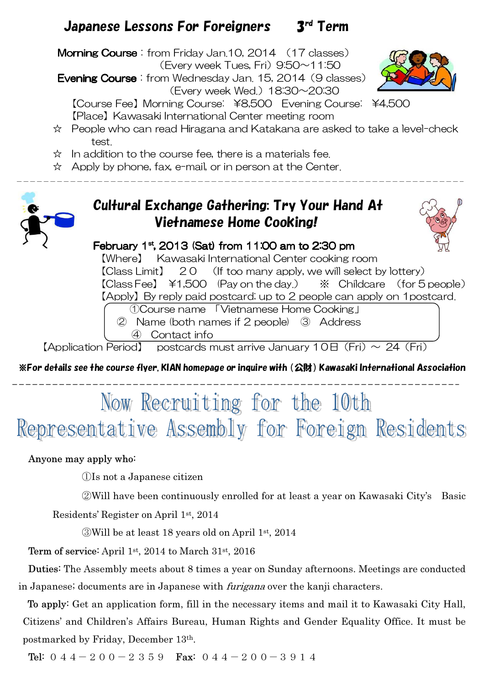## Japanese Lessons For Foreigners 3rd Term

**Morning Course**: from Friday Jan.10, 2014 (17 classes)

(Every week Tues, Fri)  $9.50 \sim 11.50$ 

**Evening Course**: from Wednesday Jan. 15, 2014 (9 classes)

(Every week Wed.) 18:30~20:30

【Course Fee】Morning Course: ¥8,500 Evening Course: ¥4,500 【Place】Kawasaki International Center meeting room

- ☆ People who can read Hiragana and Katakana are asked to take a level-check test.
- $\hat{x}$  In addition to the course fee, there is a materials fee.
- ☆ Apply by phone, fax, e-mail, or in person at the Center.



 $\overline{a}$ 

## Cultural Exchange Gathering: Try Your Hand At Vietnamese Home Cooking!



#### February  $1<sup>st</sup>$ , 2013 (Sat) from 11:00 am to 2:30 pm

【Where】 Kawasaki International Center cooking room 【Class Limit】 20 (If too many apply, we will select by lottery) 【Class Fee】 \1,500 (Pay on the day.) ※ Childcare (for 5 people) 【Apply】By reply paid postcard; up to 2 people can apply on 1postcard. ①Course name 「Vietnamese Home Cooking」

② Name (both names if 2 people) ③ Address ④ Contact info

[Application Period] postcards must arrive January  $10E$  (Fri)  $\sim$  24 (Fri)

※For details see the course flyer, KIAN homepage or inquire with(公財)Kawasaki International Association

# Now Recruiting for the 10th Representative Assembly for Foreign Residents

#### Anyone may apply who:

①Is not a Japanese citizen

②Will have been continuously enrolled for at least a year on Kawasaki City's Basic

Residents' Register on April 1st, 2014

③Will be at least 18 years old on April 1st, 2014

Term of service: April 1st, 2014 to March 31st, 2016

Duties: The Assembly meets about 8 times a year on Sunday afternoons. Meetings are conducted in Japanese; documents are in Japanese with furigana over the kanji characters.

To apply: Get an application form, fill in the necessary items and mail it to Kawasaki City Hall, Citizens' and Children's Affairs Bureau, Human Rights and Gender Equality Office. It must be postmarked by Friday, December 13th.

Tel:  $044-200-2359$  Fax:  $044-200-3914$